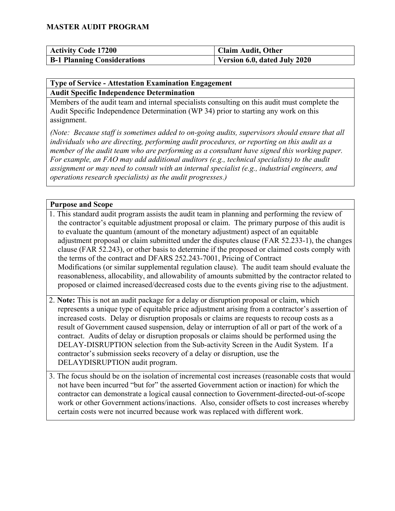| <b>Activity Code 17200</b>         | <b>Claim Audit, Other</b>    |
|------------------------------------|------------------------------|
| <b>B-1 Planning Considerations</b> | Version 6.0, dated July 2020 |

#### **Type of Service - Attestation Examination Engagement Audit Specific Independence Determination**

Members of the audit team and internal specialists consulting on this audit must complete the Audit Specific Independence Determination (WP 34) prior to starting any work on this assignment.

*(Note: Because staff is sometimes added to on-going audits, supervisors should ensure that all individuals who are directing, performing audit procedures, or reporting on this audit as a member of the audit team who are performing as a consultant have signed this working paper. For example, an FAO may add additional auditors (e.g., technical specialists) to the audit assignment or may need to consult with an internal specialist (e.g., industrial engineers, and operations research specialists) as the audit progresses.)*

#### **Purpose and Scope**

- 1. This standard audit program assists the audit team in planning and performing the review of the contractor's equitable adjustment proposal or claim. The primary purpose of this audit is to evaluate the quantum (amount of the monetary adjustment) aspect of an equitable adjustment proposal or claim submitted under the disputes clause (FAR 52.233-1), the changes clause (FAR 52.243), or other basis to determine if the proposed or claimed costs comply with the terms of the contract and DFARS 252.243-7001, Pricing of Contract Modifications (or similar supplemental regulation clause). The audit team should evaluate the reasonableness, allocability, and allowability of amounts submitted by the contractor related to proposed or claimed increased/decreased costs due to the events giving rise to the adjustment.
- 2. **Note:** This is not an audit package for a delay or disruption proposal or claim, which represents a unique type of equitable price adjustment arising from a contractor's assertion of increased costs. Delay or disruption proposals or claims are requests to recoup costs as a result of Government caused suspension, delay or interruption of all or part of the work of a contract. Audits of delay or disruption proposals or claims should be performed using the DELAY-DISRUPTION selection from the Sub-activity Screen in the Audit System. If a contractor's submission seeks recovery of a delay or disruption, use the DELAYDISRUPTION audit program.
- 3. The focus should be on the isolation of incremental cost increases (reasonable costs that would not have been incurred "but for" the asserted Government action or inaction) for which the contractor can demonstrate a logical causal connection to Government-directed-out-of-scope work or other Government actions/inactions. Also, consider offsets to cost increases whereby certain costs were not incurred because work was replaced with different work.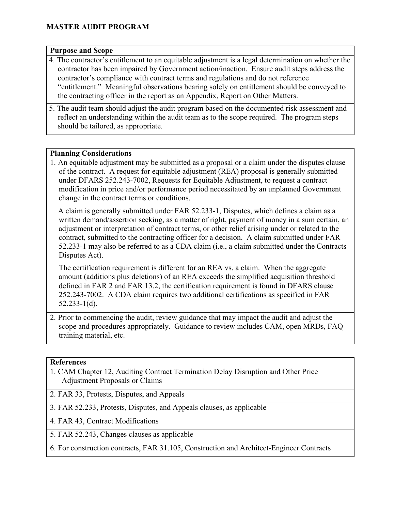#### **Purpose and Scope**

- 4. The contractor's entitlement to an equitable adjustment is a legal determination on whether the contractor has been impaired by Government action/inaction. Ensure audit steps address the contractor's compliance with contract terms and regulations and do not reference "entitlement." Meaningful observations bearing solely on entitlement should be conveyed to the contracting officer in the report as an Appendix, Report on Other Matters.
- 5. The audit team should adjust the audit program based on the documented risk assessment and reflect an understanding within the audit team as to the scope required. The program steps should be tailored, as appropriate.

#### **Planning Considerations**

1. An equitable adjustment may be submitted as a proposal or a claim under the disputes clause of the contract. A request for equitable adjustment (REA) proposal is generally submitted under DFARS 252.243-7002, Requests for Equitable Adjustment, to request a contract modification in price and/or performance period necessitated by an unplanned Government change in the contract terms or conditions.

A claim is generally submitted under FAR 52.233-1, Disputes, which defines a claim as a written demand/assertion seeking, as a matter of right, payment of money in a sum certain, an adjustment or interpretation of contract terms, or other relief arising under or related to the contract, submitted to the contracting officer for a decision. A claim submitted under FAR 52.233-1 may also be referred to as a CDA claim (i.e., a claim submitted under the Contracts Disputes Act).

The certification requirement is different for an REA vs. a claim. When the aggregate amount (additions plus deletions) of an REA exceeds the simplified acquisition threshold defined in FAR 2 and FAR 13.2, the certification requirement is found in DFARS clause 252.243-7002. A CDA claim requires two additional certifications as specified in FAR 52.233-1(d).

2. Prior to commencing the audit, review guidance that may impact the audit and adjust the scope and procedures appropriately. Guidance to review includes CAM, open MRDs, FAQ training material, etc.

#### **References**

- 1. CAM Chapter 12, Auditing Contract Termination Delay Disruption and Other Price Adjustment Proposals or Claims
- 2. FAR 33, Protests, Disputes, and Appeals
- 3. FAR 52.233, Protests, Disputes, and Appeals clauses, as applicable
- 4. FAR 43, Contract Modifications
- 5. FAR 52.243, Changes clauses as applicable
- 6. For construction contracts, FAR 31.105, Construction and Architect-Engineer Contracts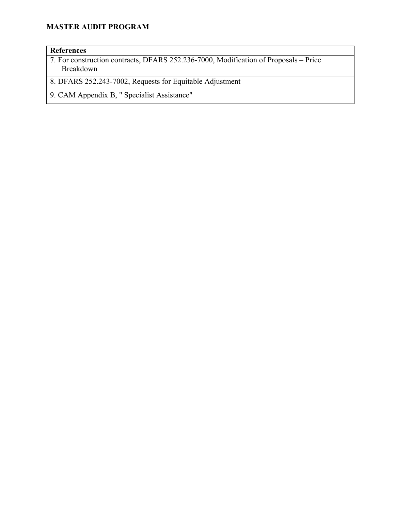#### **References**

7. For construction contracts, DFARS 252.236-7000, Modification of Proposals – Price Breakdown

8. DFARS 252.243-7002, Requests for Equitable Adjustment

9. CAM Appendix B, " Specialist Assistance"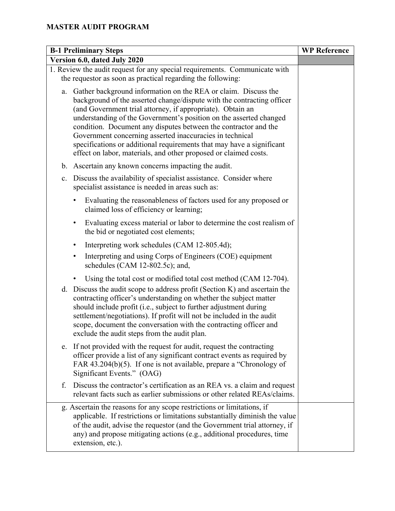|    | <b>B-1 Preliminary Steps</b>                                                                                                                                                                                                                                                                                                                                                                                                                                                                                                                             | <b>WP</b> Reference |
|----|----------------------------------------------------------------------------------------------------------------------------------------------------------------------------------------------------------------------------------------------------------------------------------------------------------------------------------------------------------------------------------------------------------------------------------------------------------------------------------------------------------------------------------------------------------|---------------------|
|    | Version 6.0, dated July 2020                                                                                                                                                                                                                                                                                                                                                                                                                                                                                                                             |                     |
|    | 1. Review the audit request for any special requirements. Communicate with<br>the requestor as soon as practical regarding the following:                                                                                                                                                                                                                                                                                                                                                                                                                |                     |
| a. | Gather background information on the REA or claim. Discuss the<br>background of the asserted change/dispute with the contracting officer<br>(and Government trial attorney, if appropriate). Obtain an<br>understanding of the Government's position on the asserted changed<br>condition. Document any disputes between the contractor and the<br>Government concerning asserted inaccuracies in technical<br>specifications or additional requirements that may have a significant<br>effect on labor, materials, and other proposed or claimed costs. |                     |
| b. | Ascertain any known concerns impacting the audit.                                                                                                                                                                                                                                                                                                                                                                                                                                                                                                        |                     |
| c. | Discuss the availability of specialist assistance. Consider where<br>specialist assistance is needed in areas such as:                                                                                                                                                                                                                                                                                                                                                                                                                                   |                     |
|    | Evaluating the reasonableness of factors used for any proposed or<br>claimed loss of efficiency or learning;                                                                                                                                                                                                                                                                                                                                                                                                                                             |                     |
|    | Evaluating excess material or labor to determine the cost realism of<br>$\bullet$<br>the bid or negotiated cost elements;                                                                                                                                                                                                                                                                                                                                                                                                                                |                     |
|    | Interpreting work schedules (CAM 12-805.4d);<br>٠                                                                                                                                                                                                                                                                                                                                                                                                                                                                                                        |                     |
|    | Interpreting and using Corps of Engineers (COE) equipment<br>٠<br>schedules (CAM 12-802.5c); and,                                                                                                                                                                                                                                                                                                                                                                                                                                                        |                     |
|    | Using the total cost or modified total cost method (CAM 12-704).                                                                                                                                                                                                                                                                                                                                                                                                                                                                                         |                     |
|    | d. Discuss the audit scope to address profit (Section K) and ascertain the<br>contracting officer's understanding on whether the subject matter<br>should include profit (i.e., subject to further adjustment during<br>settlement/negotiations). If profit will not be included in the audit<br>scope, document the conversation with the contracting officer and<br>exclude the audit steps from the audit plan.                                                                                                                                       |                     |
| e. | If not provided with the request for audit, request the contracting<br>officer provide a list of any significant contract events as required by<br>FAR 43.204(b)(5). If one is not available, prepare a "Chronology of<br>Significant Events." (OAG)                                                                                                                                                                                                                                                                                                     |                     |
| f. | Discuss the contractor's certification as an REA vs. a claim and request<br>relevant facts such as earlier submissions or other related REAs/claims.                                                                                                                                                                                                                                                                                                                                                                                                     |                     |
|    | g. Ascertain the reasons for any scope restrictions or limitations, if<br>applicable. If restrictions or limitations substantially diminish the value<br>of the audit, advise the requestor (and the Government trial attorney, if<br>any) and propose mitigating actions (e.g., additional procedures, time<br>extension, etc.).                                                                                                                                                                                                                        |                     |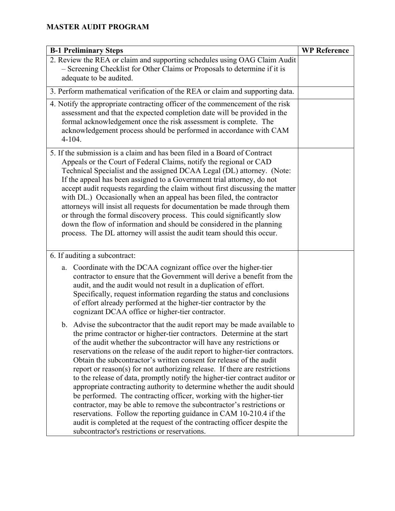| <b>B-1 Preliminary Steps</b>                                                                                                                                                                                                                                                                                                                                                                                                                                                                                                                                                                                                                                                                                                                                                                                                                                                                                                                                                   | <b>WP Reference</b> |
|--------------------------------------------------------------------------------------------------------------------------------------------------------------------------------------------------------------------------------------------------------------------------------------------------------------------------------------------------------------------------------------------------------------------------------------------------------------------------------------------------------------------------------------------------------------------------------------------------------------------------------------------------------------------------------------------------------------------------------------------------------------------------------------------------------------------------------------------------------------------------------------------------------------------------------------------------------------------------------|---------------------|
| 2. Review the REA or claim and supporting schedules using OAG Claim Audit<br>- Screening Checklist for Other Claims or Proposals to determine if it is<br>adequate to be audited.                                                                                                                                                                                                                                                                                                                                                                                                                                                                                                                                                                                                                                                                                                                                                                                              |                     |
| 3. Perform mathematical verification of the REA or claim and supporting data.                                                                                                                                                                                                                                                                                                                                                                                                                                                                                                                                                                                                                                                                                                                                                                                                                                                                                                  |                     |
| 4. Notify the appropriate contracting officer of the commencement of the risk<br>assessment and that the expected completion date will be provided in the<br>formal acknowledgement once the risk assessment is complete. The<br>acknowledgement process should be performed in accordance with CAM<br>$4 - 104.$                                                                                                                                                                                                                                                                                                                                                                                                                                                                                                                                                                                                                                                              |                     |
| 5. If the submission is a claim and has been filed in a Board of Contract<br>Appeals or the Court of Federal Claims, notify the regional or CAD<br>Technical Specialist and the assigned DCAA Legal (DL) attorney. (Note:<br>If the appeal has been assigned to a Government trial attorney, do not<br>accept audit requests regarding the claim without first discussing the matter<br>with DL.) Occasionally when an appeal has been filed, the contractor<br>attorneys will insist all requests for documentation be made through them<br>or through the formal discovery process. This could significantly slow<br>down the flow of information and should be considered in the planning<br>process. The DL attorney will assist the audit team should this occur.                                                                                                                                                                                                         |                     |
| 6. If auditing a subcontract:                                                                                                                                                                                                                                                                                                                                                                                                                                                                                                                                                                                                                                                                                                                                                                                                                                                                                                                                                  |                     |
| Coordinate with the DCAA cognizant office over the higher-tier<br>a.<br>contractor to ensure that the Government will derive a benefit from the<br>audit, and the audit would not result in a duplication of effort.<br>Specifically, request information regarding the status and conclusions<br>of effort already performed at the higher-tier contractor by the<br>cognizant DCAA office or higher-tier contractor.                                                                                                                                                                                                                                                                                                                                                                                                                                                                                                                                                         |                     |
| b. Advise the subcontractor that the audit report may be made available to<br>the prime contractor or higher-tier contractors. Determine at the start<br>of the audit whether the subcontractor will have any restrictions or<br>reservations on the release of the audit report to higher-tier contractors.<br>Obtain the subcontractor's written consent for release of the audit<br>report or reason(s) for not authorizing release. If there are restrictions<br>to the release of data, promptly notify the higher-tier contract auditor or<br>appropriate contracting authority to determine whether the audit should<br>be performed. The contracting officer, working with the higher-tier<br>contractor, may be able to remove the subcontractor's restrictions or<br>reservations. Follow the reporting guidance in CAM 10-210.4 if the<br>audit is completed at the request of the contracting officer despite the<br>subcontractor's restrictions or reservations. |                     |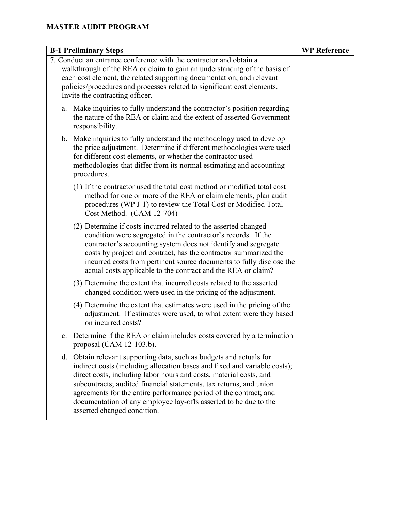| <b>B-1 Preliminary Steps</b>                                                                                                                                                                                                                                                                                                                                                                                                                                         | <b>WP Reference</b> |
|----------------------------------------------------------------------------------------------------------------------------------------------------------------------------------------------------------------------------------------------------------------------------------------------------------------------------------------------------------------------------------------------------------------------------------------------------------------------|---------------------|
| 7. Conduct an entrance conference with the contractor and obtain a<br>walkthrough of the REA or claim to gain an understanding of the basis of<br>each cost element, the related supporting documentation, and relevant<br>policies/procedures and processes related to significant cost elements.<br>Invite the contracting officer.                                                                                                                                |                     |
| a. Make inquiries to fully understand the contractor's position regarding<br>the nature of the REA or claim and the extent of asserted Government<br>responsibility.                                                                                                                                                                                                                                                                                                 |                     |
| b. Make inquiries to fully understand the methodology used to develop<br>the price adjustment. Determine if different methodologies were used<br>for different cost elements, or whether the contractor used<br>methodologies that differ from its normal estimating and accounting<br>procedures.                                                                                                                                                                   |                     |
| (1) If the contractor used the total cost method or modified total cost<br>method for one or more of the REA or claim elements, plan audit<br>procedures (WP J-1) to review the Total Cost or Modified Total<br>Cost Method. (CAM 12-704)                                                                                                                                                                                                                            |                     |
| (2) Determine if costs incurred related to the asserted changed<br>condition were segregated in the contractor's records. If the<br>contractor's accounting system does not identify and segregate<br>costs by project and contract, has the contractor summarized the<br>incurred costs from pertinent source documents to fully disclose the<br>actual costs applicable to the contract and the REA or claim?                                                      |                     |
| (3) Determine the extent that incurred costs related to the asserted<br>changed condition were used in the pricing of the adjustment.                                                                                                                                                                                                                                                                                                                                |                     |
| (4) Determine the extent that estimates were used in the pricing of the<br>adjustment. If estimates were used, to what extent were they based<br>on incurred costs?                                                                                                                                                                                                                                                                                                  |                     |
| Determine if the REA or claim includes costs covered by a termination<br>proposal (CAM $12-103.b$ ).                                                                                                                                                                                                                                                                                                                                                                 |                     |
| d. Obtain relevant supporting data, such as budgets and actuals for<br>indirect costs (including allocation bases and fixed and variable costs);<br>direct costs, including labor hours and costs, material costs, and<br>subcontracts; audited financial statements, tax returns, and union<br>agreements for the entire performance period of the contract; and<br>documentation of any employee lay-offs asserted to be due to the<br>asserted changed condition. |                     |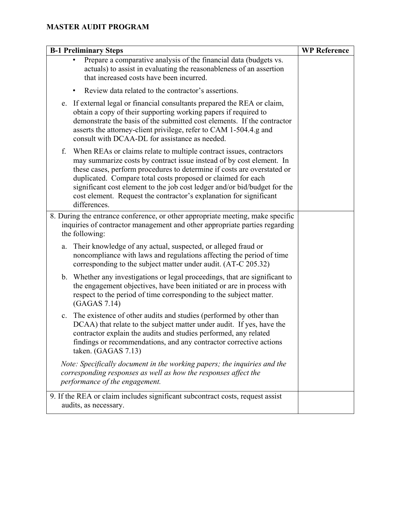| <b>B-1 Preliminary Steps</b>                                                                                                                                                                                                                                                                                                                                                                                                                                    | <b>WP Reference</b> |
|-----------------------------------------------------------------------------------------------------------------------------------------------------------------------------------------------------------------------------------------------------------------------------------------------------------------------------------------------------------------------------------------------------------------------------------------------------------------|---------------------|
| Prepare a comparative analysis of the financial data (budgets vs.<br>actuals) to assist in evaluating the reasonableness of an assertion<br>that increased costs have been incurred.                                                                                                                                                                                                                                                                            |                     |
| Review data related to the contractor's assertions.                                                                                                                                                                                                                                                                                                                                                                                                             |                     |
| If external legal or financial consultants prepared the REA or claim,<br>e.<br>obtain a copy of their supporting working papers if required to<br>demonstrate the basis of the submitted cost elements. If the contractor<br>asserts the attorney-client privilege, refer to CAM 1-504.4.g and<br>consult with DCAA-DL for assistance as needed.                                                                                                                |                     |
| When REAs or claims relate to multiple contract issues, contractors<br>f.<br>may summarize costs by contract issue instead of by cost element. In<br>these cases, perform procedures to determine if costs are overstated or<br>duplicated. Compare total costs proposed or claimed for each<br>significant cost element to the job cost ledger and/or bid/budget for the<br>cost element. Request the contractor's explanation for significant<br>differences. |                     |
| 8. During the entrance conference, or other appropriate meeting, make specific<br>inquiries of contractor management and other appropriate parties regarding<br>the following:                                                                                                                                                                                                                                                                                  |                     |
| Their knowledge of any actual, suspected, or alleged fraud or<br>a.<br>noncompliance with laws and regulations affecting the period of time<br>corresponding to the subject matter under audit. (AT-C 205.32)                                                                                                                                                                                                                                                   |                     |
| b. Whether any investigations or legal proceedings, that are significant to<br>the engagement objectives, have been initiated or are in process with<br>respect to the period of time corresponding to the subject matter.<br>(GAGAS 7.14)                                                                                                                                                                                                                      |                     |
| The existence of other audits and studies (performed by other than<br>c.<br>DCAA) that relate to the subject matter under audit. If yes, have the<br>contractor explain the audits and studies performed, any related<br>findings or recommendations, and any contractor corrective actions<br>taken. (GAGAS 7.13)                                                                                                                                              |                     |
| Note: Specifically document in the working papers; the inquiries and the<br>corresponding responses as well as how the responses affect the<br>performance of the engagement.                                                                                                                                                                                                                                                                                   |                     |
| 9. If the REA or claim includes significant subcontract costs, request assist<br>audits, as necessary.                                                                                                                                                                                                                                                                                                                                                          |                     |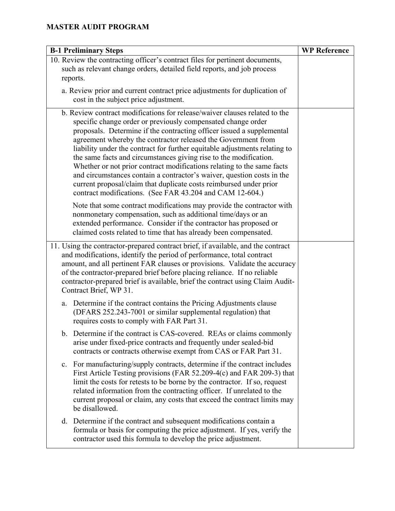| <b>B-1 Preliminary Steps</b>                                                                                                                                                                                                                                                                                                                                                                                                                                                                                                                                                                                                                                                                                                  | <b>WP Reference</b> |
|-------------------------------------------------------------------------------------------------------------------------------------------------------------------------------------------------------------------------------------------------------------------------------------------------------------------------------------------------------------------------------------------------------------------------------------------------------------------------------------------------------------------------------------------------------------------------------------------------------------------------------------------------------------------------------------------------------------------------------|---------------------|
| 10. Review the contracting officer's contract files for pertinent documents,<br>such as relevant change orders, detailed field reports, and job process<br>reports.                                                                                                                                                                                                                                                                                                                                                                                                                                                                                                                                                           |                     |
| a. Review prior and current contract price adjustments for duplication of<br>cost in the subject price adjustment.                                                                                                                                                                                                                                                                                                                                                                                                                                                                                                                                                                                                            |                     |
| b. Review contract modifications for release/waiver clauses related to the<br>specific change order or previously compensated change order<br>proposals. Determine if the contracting officer issued a supplemental<br>agreement whereby the contractor released the Government from<br>liability under the contract for further equitable adjustments relating to<br>the same facts and circumstances giving rise to the modification.<br>Whether or not prior contract modifications relating to the same facts<br>and circumstances contain a contractor's waiver, question costs in the<br>current proposal/claim that duplicate costs reimbursed under prior<br>contract modifications. (See FAR 43.204 and CAM 12-604.) |                     |
| Note that some contract modifications may provide the contractor with<br>nonmonetary compensation, such as additional time/days or an<br>extended performance. Consider if the contractor has proposed or<br>claimed costs related to time that has already been compensated.                                                                                                                                                                                                                                                                                                                                                                                                                                                 |                     |
| 11. Using the contractor-prepared contract brief, if available, and the contract<br>and modifications, identify the period of performance, total contract<br>amount, and all pertinent FAR clauses or provisions. Validate the accuracy<br>of the contractor-prepared brief before placing reliance. If no reliable<br>contractor-prepared brief is available, brief the contract using Claim Audit-<br>Contract Brief, WP 31.                                                                                                                                                                                                                                                                                                |                     |
| Determine if the contract contains the Pricing Adjustments clause<br>a.<br>(DFARS 252.243-7001 or similar supplemental regulation) that<br>requires costs to comply with FAR Part 31.                                                                                                                                                                                                                                                                                                                                                                                                                                                                                                                                         |                     |
| b. Determine if the contract is CAS-covered. REAs or claims commonly<br>arise under fixed-price contracts and frequently under sealed-bid<br>contracts or contracts otherwise exempt from CAS or FAR Part 31.                                                                                                                                                                                                                                                                                                                                                                                                                                                                                                                 |                     |
| For manufacturing/supply contracts, determine if the contract includes<br>c.<br>First Article Testing provisions (FAR 52.209-4(c) and FAR 209-3) that<br>limit the costs for retests to be borne by the contractor. If so, request<br>related information from the contracting officer. If unrelated to the<br>current proposal or claim, any costs that exceed the contract limits may<br>be disallowed.                                                                                                                                                                                                                                                                                                                     |                     |
| d. Determine if the contract and subsequent modifications contain a<br>formula or basis for computing the price adjustment. If yes, verify the<br>contractor used this formula to develop the price adjustment.                                                                                                                                                                                                                                                                                                                                                                                                                                                                                                               |                     |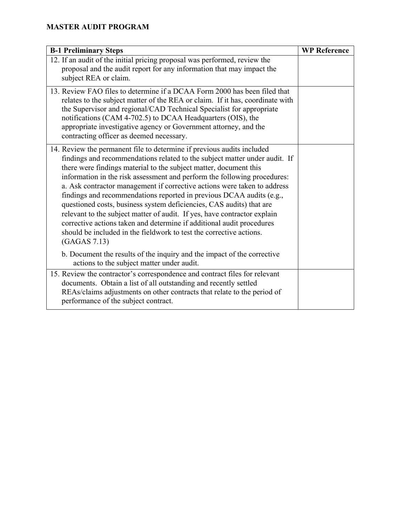| <b>B-1 Preliminary Steps</b>                                                                                                                                                                                                                                                                                                                                                                                                                                                                                                                                                                                                                                                                                                                                                  | <b>WP Reference</b> |
|-------------------------------------------------------------------------------------------------------------------------------------------------------------------------------------------------------------------------------------------------------------------------------------------------------------------------------------------------------------------------------------------------------------------------------------------------------------------------------------------------------------------------------------------------------------------------------------------------------------------------------------------------------------------------------------------------------------------------------------------------------------------------------|---------------------|
| 12. If an audit of the initial pricing proposal was performed, review the<br>proposal and the audit report for any information that may impact the<br>subject REA or claim.                                                                                                                                                                                                                                                                                                                                                                                                                                                                                                                                                                                                   |                     |
| 13. Review FAO files to determine if a DCAA Form 2000 has been filed that<br>relates to the subject matter of the REA or claim. If it has, coordinate with<br>the Supervisor and regional/CAD Technical Specialist for appropriate<br>notifications (CAM 4-702.5) to DCAA Headquarters (OIS), the<br>appropriate investigative agency or Government attorney, and the<br>contracting officer as deemed necessary.                                                                                                                                                                                                                                                                                                                                                             |                     |
| 14. Review the permanent file to determine if previous audits included<br>findings and recommendations related to the subject matter under audit. If<br>there were findings material to the subject matter, document this<br>information in the risk assessment and perform the following procedures:<br>a. Ask contractor management if corrective actions were taken to address<br>findings and recommendations reported in previous DCAA audits (e.g.,<br>questioned costs, business system deficiencies, CAS audits) that are<br>relevant to the subject matter of audit. If yes, have contractor explain<br>corrective actions taken and determine if additional audit procedures<br>should be included in the fieldwork to test the corrective actions.<br>(GAGAS 7.13) |                     |
| b. Document the results of the inquiry and the impact of the corrective<br>actions to the subject matter under audit.                                                                                                                                                                                                                                                                                                                                                                                                                                                                                                                                                                                                                                                         |                     |
| 15. Review the contractor's correspondence and contract files for relevant<br>documents. Obtain a list of all outstanding and recently settled<br>REAs/claims adjustments on other contracts that relate to the period of<br>performance of the subject contract.                                                                                                                                                                                                                                                                                                                                                                                                                                                                                                             |                     |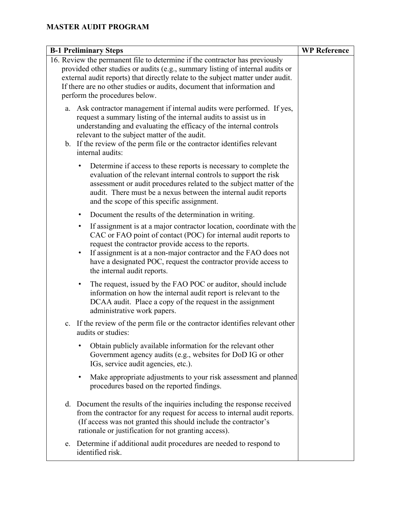| <b>B-1 Preliminary Steps</b> |                                                                                                                                                                                                                                                                                                                                                                                                 | <b>WP Reference</b> |
|------------------------------|-------------------------------------------------------------------------------------------------------------------------------------------------------------------------------------------------------------------------------------------------------------------------------------------------------------------------------------------------------------------------------------------------|---------------------|
|                              | 16. Review the permanent file to determine if the contractor has previously<br>provided other studies or audits (e.g., summary listing of internal audits or<br>external audit reports) that directly relate to the subject matter under audit.<br>If there are no other studies or audits, document that information and<br>perform the procedures below.                                      |                     |
|                              | a. Ask contractor management if internal audits were performed. If yes,<br>request a summary listing of the internal audits to assist us in<br>understanding and evaluating the efficacy of the internal controls<br>relevant to the subject matter of the audit.<br>b. If the review of the perm file or the contractor identifies relevant<br>internal audits:                                |                     |
|                              | Determine if access to these reports is necessary to complete the<br>$\bullet$<br>evaluation of the relevant internal controls to support the risk<br>assessment or audit procedures related to the subject matter of the<br>audit. There must be a nexus between the internal audit reports<br>and the scope of this specific assignment.                                                      |                     |
|                              | Document the results of the determination in writing.<br>$\bullet$                                                                                                                                                                                                                                                                                                                              |                     |
|                              | If assignment is at a major contractor location, coordinate with the<br>$\bullet$<br>CAC or FAO point of contact (POC) for internal audit reports to<br>request the contractor provide access to the reports.<br>If assignment is at a non-major contractor and the FAO does not<br>$\bullet$<br>have a designated POC, request the contractor provide access to<br>the internal audit reports. |                     |
|                              | The request, issued by the FAO POC or auditor, should include<br>$\bullet$<br>information on how the internal audit report is relevant to the<br>DCAA audit. Place a copy of the request in the assignment<br>administrative work papers.                                                                                                                                                       |                     |
|                              | c. If the review of the perm file or the contractor identifies relevant other<br>audits or studies:                                                                                                                                                                                                                                                                                             |                     |
|                              | Obtain publicly available information for the relevant other<br>Government agency audits (e.g., websites for DoD IG or other<br>IGs, service audit agencies, etc.).                                                                                                                                                                                                                             |                     |
|                              | Make appropriate adjustments to your risk assessment and planned<br>$\bullet$<br>procedures based on the reported findings.                                                                                                                                                                                                                                                                     |                     |
|                              | d. Document the results of the inquiries including the response received<br>from the contractor for any request for access to internal audit reports.<br>(If access was not granted this should include the contractor's<br>rationale or justification for not granting access).                                                                                                                |                     |
|                              | e. Determine if additional audit procedures are needed to respond to<br>identified risk.                                                                                                                                                                                                                                                                                                        |                     |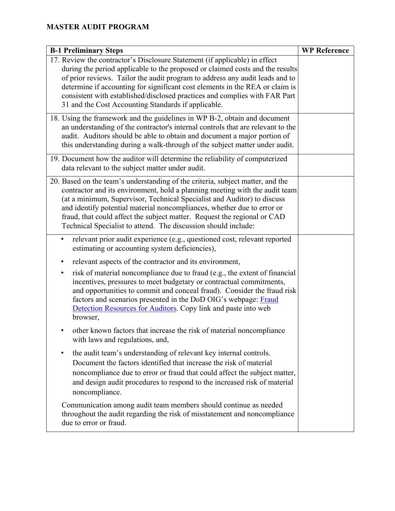| <b>B-1 Preliminary Steps</b>                                                                                                                                                                                                                                                                                                                                                                                                                                      | <b>WP Reference</b> |
|-------------------------------------------------------------------------------------------------------------------------------------------------------------------------------------------------------------------------------------------------------------------------------------------------------------------------------------------------------------------------------------------------------------------------------------------------------------------|---------------------|
| 17. Review the contractor's Disclosure Statement (if applicable) in effect<br>during the period applicable to the proposed or claimed costs and the results<br>of prior reviews. Tailor the audit program to address any audit leads and to<br>determine if accounting for significant cost elements in the REA or claim is<br>consistent with established/disclosed practices and complies with FAR Part<br>31 and the Cost Accounting Standards if applicable.  |                     |
| 18. Using the framework and the guidelines in WP B-2, obtain and document<br>an understanding of the contractor's internal controls that are relevant to the<br>audit. Auditors should be able to obtain and document a major portion of<br>this understanding during a walk-through of the subject matter under audit.                                                                                                                                           |                     |
| 19. Document how the auditor will determine the reliability of computerized<br>data relevant to the subject matter under audit.                                                                                                                                                                                                                                                                                                                                   |                     |
| 20. Based on the team's understanding of the criteria, subject matter, and the<br>contractor and its environment, hold a planning meeting with the audit team<br>(at a minimum, Supervisor, Technical Specialist and Auditor) to discuss<br>and identify potential material noncompliances, whether due to error or<br>fraud, that could affect the subject matter. Request the regional or CAD<br>Technical Specialist to attend. The discussion should include: |                     |
| relevant prior audit experience (e.g., questioned cost, relevant reported<br>estimating or accounting system deficiencies),                                                                                                                                                                                                                                                                                                                                       |                     |
| relevant aspects of the contractor and its environment,<br>٠<br>risk of material noncompliance due to fraud (e.g., the extent of financial<br>٠<br>incentives, pressures to meet budgetary or contractual commitments,<br>and opportunities to commit and conceal fraud). Consider the fraud risk<br>factors and scenarios presented in the DoD OIG's webpage: Fraud<br>Detection Resources for Auditors. Copy link and paste into web<br>browser,                |                     |
| other known factors that increase the risk of material noncompliance<br>with laws and regulations, and,                                                                                                                                                                                                                                                                                                                                                           |                     |
| the audit team's understanding of relevant key internal controls.<br>٠<br>Document the factors identified that increase the risk of material<br>noncompliance due to error or fraud that could affect the subject matter,<br>and design audit procedures to respond to the increased risk of material<br>noncompliance.                                                                                                                                           |                     |
| Communication among audit team members should continue as needed<br>throughout the audit regarding the risk of misstatement and noncompliance<br>due to error or fraud.                                                                                                                                                                                                                                                                                           |                     |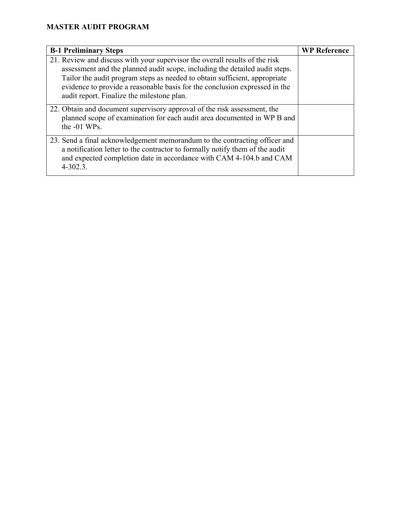| <b>B-1 Preliminary Steps</b>                                                                                                                                                                                                                                                                                                                                         | <b>WP Reference</b> |
|----------------------------------------------------------------------------------------------------------------------------------------------------------------------------------------------------------------------------------------------------------------------------------------------------------------------------------------------------------------------|---------------------|
| 21. Review and discuss with your supervisor the overall results of the risk<br>assessment and the planned audit scope, including the detailed audit steps.<br>Tailor the audit program steps as needed to obtain sufficient, appropriate<br>evidence to provide a reasonable basis for the conclusion expressed in the<br>audit report. Finalize the milestone plan. |                     |
| 22. Obtain and document supervisory approval of the risk assessment, the<br>planned scope of examination for each audit area documented in WP B and<br>the -01 WPs.                                                                                                                                                                                                  |                     |
| 23. Send a final acknowledgement memorandum to the contracting officer and<br>a notification letter to the contractor to formally notify them of the audit<br>and expected completion date in accordance with CAM 4-104.b and CAM<br>$4 - 302.3$ .                                                                                                                   |                     |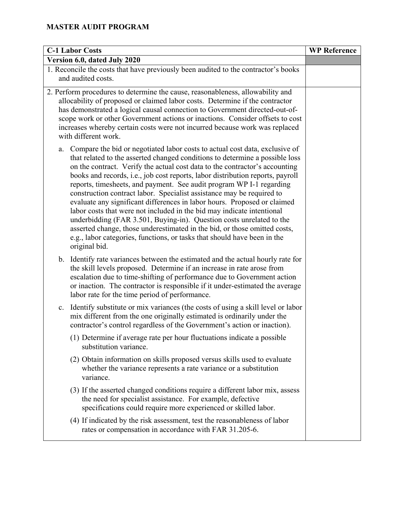| <b>C-1 Labor Costs</b>                                                                                                                                                                                                                                                                                                                                                                                                                                                                                                                                                                                                                                                                                                                                                                                                                                                                      | <b>WP Reference</b> |
|---------------------------------------------------------------------------------------------------------------------------------------------------------------------------------------------------------------------------------------------------------------------------------------------------------------------------------------------------------------------------------------------------------------------------------------------------------------------------------------------------------------------------------------------------------------------------------------------------------------------------------------------------------------------------------------------------------------------------------------------------------------------------------------------------------------------------------------------------------------------------------------------|---------------------|
| Version 6.0, dated July 2020                                                                                                                                                                                                                                                                                                                                                                                                                                                                                                                                                                                                                                                                                                                                                                                                                                                                |                     |
| 1. Reconcile the costs that have previously been audited to the contractor's books<br>and audited costs.                                                                                                                                                                                                                                                                                                                                                                                                                                                                                                                                                                                                                                                                                                                                                                                    |                     |
| 2. Perform procedures to determine the cause, reasonableness, allowability and<br>allocability of proposed or claimed labor costs. Determine if the contractor<br>has demonstrated a logical causal connection to Government directed-out-of-<br>scope work or other Government actions or inactions. Consider offsets to cost<br>increases whereby certain costs were not incurred because work was replaced<br>with different work.                                                                                                                                                                                                                                                                                                                                                                                                                                                       |                     |
| Compare the bid or negotiated labor costs to actual cost data, exclusive of<br>a.<br>that related to the asserted changed conditions to determine a possible loss<br>on the contract. Verify the actual cost data to the contractor's accounting<br>books and records, i.e., job cost reports, labor distribution reports, payroll<br>reports, timesheets, and payment. See audit program WP I-1 regarding<br>construction contract labor. Specialist assistance may be required to<br>evaluate any significant differences in labor hours. Proposed or claimed<br>labor costs that were not included in the bid may indicate intentional<br>underbidding (FAR 3.501, Buying-in). Question costs unrelated to the<br>asserted change, those underestimated in the bid, or those omitted costs,<br>e.g., labor categories, functions, or tasks that should have been in the<br>original bid. |                     |
| b. Identify rate variances between the estimated and the actual hourly rate for<br>the skill levels proposed. Determine if an increase in rate arose from<br>escalation due to time-shifting of performance due to Government action<br>or inaction. The contractor is responsible if it under-estimated the average<br>labor rate for the time period of performance.                                                                                                                                                                                                                                                                                                                                                                                                                                                                                                                      |                     |
| c. Identify substitute or mix variances (the costs of using a skill level or labor<br>mix different from the one originally estimated is ordinarily under the<br>contractor's control regardless of the Government's action or inaction).                                                                                                                                                                                                                                                                                                                                                                                                                                                                                                                                                                                                                                                   |                     |
| (1) Determine if average rate per hour fluctuations indicate a possible<br>substitution variance.                                                                                                                                                                                                                                                                                                                                                                                                                                                                                                                                                                                                                                                                                                                                                                                           |                     |
| (2) Obtain information on skills proposed versus skills used to evaluate<br>whether the variance represents a rate variance or a substitution<br>variance.                                                                                                                                                                                                                                                                                                                                                                                                                                                                                                                                                                                                                                                                                                                                  |                     |
| (3) If the asserted changed conditions require a different labor mix, assess<br>the need for specialist assistance. For example, defective<br>specifications could require more experienced or skilled labor.                                                                                                                                                                                                                                                                                                                                                                                                                                                                                                                                                                                                                                                                               |                     |
| (4) If indicated by the risk assessment, test the reasonableness of labor<br>rates or compensation in accordance with FAR 31.205-6.                                                                                                                                                                                                                                                                                                                                                                                                                                                                                                                                                                                                                                                                                                                                                         |                     |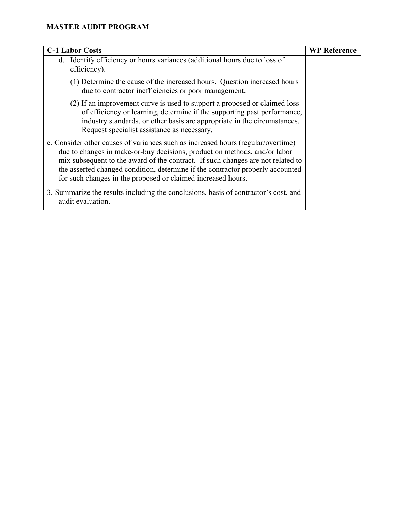| <b>C-1 Labor Costs</b>                                                                                                                                                                                                                                                                                                                                                                             | <b>WP Reference</b> |
|----------------------------------------------------------------------------------------------------------------------------------------------------------------------------------------------------------------------------------------------------------------------------------------------------------------------------------------------------------------------------------------------------|---------------------|
| Identify efficiency or hours variances (additional hours due to loss of<br>d.<br>efficiency).                                                                                                                                                                                                                                                                                                      |                     |
| (1) Determine the cause of the increased hours. Question increased hours<br>due to contractor inefficiencies or poor management.                                                                                                                                                                                                                                                                   |                     |
| (2) If an improvement curve is used to support a proposed or claimed loss<br>of efficiency or learning, determine if the supporting past performance,<br>industry standards, or other basis are appropriate in the circumstances.<br>Request specialist assistance as necessary.                                                                                                                   |                     |
| e. Consider other causes of variances such as increased hours (regular/overtime)<br>due to changes in make-or-buy decisions, production methods, and/or labor<br>mix subsequent to the award of the contract. If such changes are not related to<br>the asserted changed condition, determine if the contractor properly accounted<br>for such changes in the proposed or claimed increased hours. |                     |
| 3. Summarize the results including the conclusions, basis of contractor's cost, and<br>audit evaluation.                                                                                                                                                                                                                                                                                           |                     |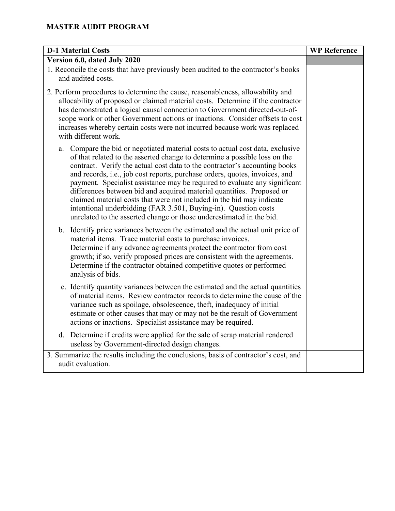| <b>D-1 Material Costs</b>                                                                                                                                                                                                                                                                                                                                                                                                                                                                                                                                                                                                                                                                               | <b>WP Reference</b> |
|---------------------------------------------------------------------------------------------------------------------------------------------------------------------------------------------------------------------------------------------------------------------------------------------------------------------------------------------------------------------------------------------------------------------------------------------------------------------------------------------------------------------------------------------------------------------------------------------------------------------------------------------------------------------------------------------------------|---------------------|
| Version 6.0, dated July 2020                                                                                                                                                                                                                                                                                                                                                                                                                                                                                                                                                                                                                                                                            |                     |
| 1. Reconcile the costs that have previously been audited to the contractor's books                                                                                                                                                                                                                                                                                                                                                                                                                                                                                                                                                                                                                      |                     |
| and audited costs.                                                                                                                                                                                                                                                                                                                                                                                                                                                                                                                                                                                                                                                                                      |                     |
| 2. Perform procedures to determine the cause, reasonableness, allowability and<br>allocability of proposed or claimed material costs. Determine if the contractor<br>has demonstrated a logical causal connection to Government directed-out-of-<br>scope work or other Government actions or inactions. Consider offsets to cost<br>increases whereby certain costs were not incurred because work was replaced<br>with different work.                                                                                                                                                                                                                                                                |                     |
| Compare the bid or negotiated material costs to actual cost data, exclusive<br>a.<br>of that related to the asserted change to determine a possible loss on the<br>contract. Verify the actual cost data to the contractor's accounting books<br>and records, i.e., job cost reports, purchase orders, quotes, invoices, and<br>payment. Specialist assistance may be required to evaluate any significant<br>differences between bid and acquired material quantities. Proposed or<br>claimed material costs that were not included in the bid may indicate<br>intentional underbidding (FAR 3.501, Buying-in). Question costs<br>unrelated to the asserted change or those underestimated in the bid. |                     |
| b. Identify price variances between the estimated and the actual unit price of<br>material items. Trace material costs to purchase invoices.<br>Determine if any advance agreements protect the contractor from cost<br>growth; if so, verify proposed prices are consistent with the agreements.<br>Determine if the contractor obtained competitive quotes or performed<br>analysis of bids.                                                                                                                                                                                                                                                                                                          |                     |
| c. Identify quantity variances between the estimated and the actual quantities<br>of material items. Review contractor records to determine the cause of the<br>variance such as spoilage, obsolescence, theft, inadequacy of initial<br>estimate or other causes that may or may not be the result of Government<br>actions or inactions. Specialist assistance may be required.                                                                                                                                                                                                                                                                                                                       |                     |
| d. Determine if credits were applied for the sale of scrap material rendered<br>useless by Government-directed design changes.                                                                                                                                                                                                                                                                                                                                                                                                                                                                                                                                                                          |                     |
| 3. Summarize the results including the conclusions, basis of contractor's cost, and<br>audit evaluation.                                                                                                                                                                                                                                                                                                                                                                                                                                                                                                                                                                                                |                     |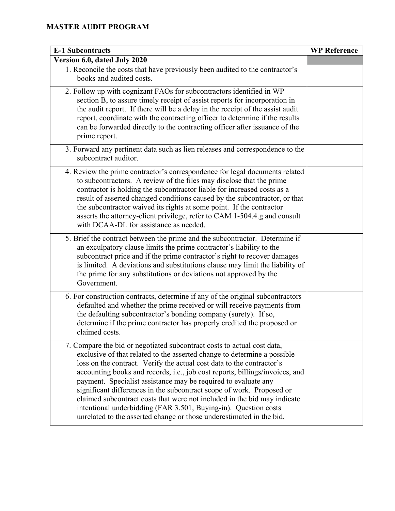| <b>E-1 Subcontracts</b>                                                                                                                                                                                                                                                                                                                                                                                                                                                                                                                                                                                                                                                        | <b>WP Reference</b> |
|--------------------------------------------------------------------------------------------------------------------------------------------------------------------------------------------------------------------------------------------------------------------------------------------------------------------------------------------------------------------------------------------------------------------------------------------------------------------------------------------------------------------------------------------------------------------------------------------------------------------------------------------------------------------------------|---------------------|
| Version 6.0, dated July 2020                                                                                                                                                                                                                                                                                                                                                                                                                                                                                                                                                                                                                                                   |                     |
| 1. Reconcile the costs that have previously been audited to the contractor's<br>books and audited costs.                                                                                                                                                                                                                                                                                                                                                                                                                                                                                                                                                                       |                     |
| 2. Follow up with cognizant FAOs for subcontractors identified in WP<br>section B, to assure timely receipt of assist reports for incorporation in<br>the audit report. If there will be a delay in the receipt of the assist audit<br>report, coordinate with the contracting officer to determine if the results<br>can be forwarded directly to the contracting officer after issuance of the<br>prime report.                                                                                                                                                                                                                                                              |                     |
| 3. Forward any pertinent data such as lien releases and correspondence to the<br>subcontract auditor.                                                                                                                                                                                                                                                                                                                                                                                                                                                                                                                                                                          |                     |
| 4. Review the prime contractor's correspondence for legal documents related<br>to subcontractors. A review of the files may disclose that the prime<br>contractor is holding the subcontractor liable for increased costs as a<br>result of asserted changed conditions caused by the subcontractor, or that<br>the subcontractor waived its rights at some point. If the contractor<br>asserts the attorney-client privilege, refer to CAM 1-504.4.g and consult<br>with DCAA-DL for assistance as needed.                                                                                                                                                                    |                     |
| 5. Brief the contract between the prime and the subcontractor. Determine if<br>an exculpatory clause limits the prime contractor's liability to the<br>subcontract price and if the prime contractor's right to recover damages<br>is limited. A deviations and substitutions clause may limit the liability of<br>the prime for any substitutions or deviations not approved by the<br>Government.                                                                                                                                                                                                                                                                            |                     |
| 6. For construction contracts, determine if any of the original subcontractors<br>defaulted and whether the prime received or will receive payments from<br>the defaulting subcontractor's bonding company (surety). If so,<br>determine if the prime contractor has properly credited the proposed or<br>claimed costs.                                                                                                                                                                                                                                                                                                                                                       |                     |
| 7. Compare the bid or negotiated subcontract costs to actual cost data,<br>exclusive of that related to the asserted change to determine a possible<br>loss on the contract. Verify the actual cost data to the contractor's<br>accounting books and records, i.e., job cost reports, billings/invoices, and<br>payment. Specialist assistance may be required to evaluate any<br>significant differences in the subcontract scope of work. Proposed or<br>claimed subcontract costs that were not included in the bid may indicate<br>intentional underbidding (FAR 3.501, Buying-in). Question costs<br>unrelated to the asserted change or those underestimated in the bid. |                     |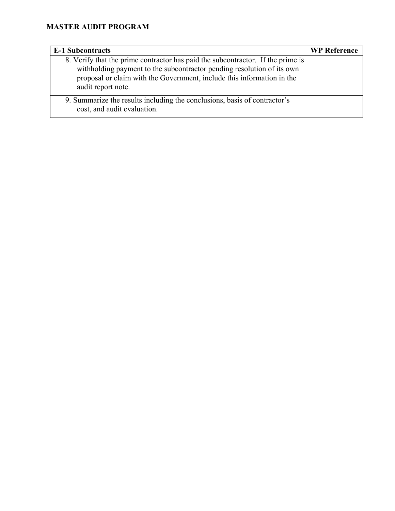| <b>E-1 Subcontracts</b>                                                                                                                                                                                                                                   | <b>WP Reference</b> |
|-----------------------------------------------------------------------------------------------------------------------------------------------------------------------------------------------------------------------------------------------------------|---------------------|
| 8. Verify that the prime contractor has paid the subcontractor. If the prime is<br>withholding payment to the subcontractor pending resolution of its own<br>proposal or claim with the Government, include this information in the<br>audit report note. |                     |
| 9. Summarize the results including the conclusions, basis of contractor's<br>cost, and audit evaluation.                                                                                                                                                  |                     |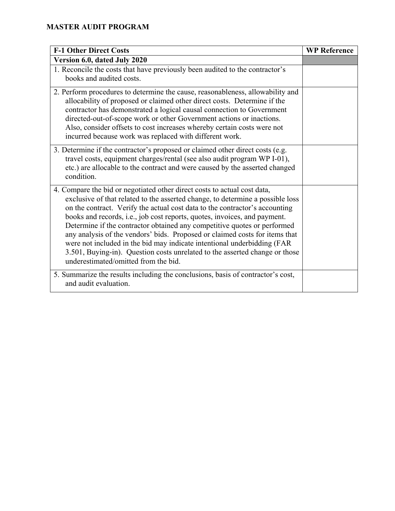| <b>F-1 Other Direct Costs</b>                                                                                                                                                                                                                                                                                                                                                                                                                                                                                                                                                                                                                                                       | <b>WP Reference</b> |
|-------------------------------------------------------------------------------------------------------------------------------------------------------------------------------------------------------------------------------------------------------------------------------------------------------------------------------------------------------------------------------------------------------------------------------------------------------------------------------------------------------------------------------------------------------------------------------------------------------------------------------------------------------------------------------------|---------------------|
| Version 6.0, dated July 2020                                                                                                                                                                                                                                                                                                                                                                                                                                                                                                                                                                                                                                                        |                     |
| 1. Reconcile the costs that have previously been audited to the contractor's<br>books and audited costs.                                                                                                                                                                                                                                                                                                                                                                                                                                                                                                                                                                            |                     |
| 2. Perform procedures to determine the cause, reasonableness, allowability and<br>allocability of proposed or claimed other direct costs. Determine if the<br>contractor has demonstrated a logical causal connection to Government<br>directed-out-of-scope work or other Government actions or inactions.<br>Also, consider offsets to cost increases whereby certain costs were not<br>incurred because work was replaced with different work.                                                                                                                                                                                                                                   |                     |
| 3. Determine if the contractor's proposed or claimed other direct costs (e.g.<br>travel costs, equipment charges/rental (see also audit program WP I-01),<br>etc.) are allocable to the contract and were caused by the asserted changed<br>condition.                                                                                                                                                                                                                                                                                                                                                                                                                              |                     |
| 4. Compare the bid or negotiated other direct costs to actual cost data,<br>exclusive of that related to the asserted change, to determine a possible loss<br>on the contract. Verify the actual cost data to the contractor's accounting<br>books and records, i.e., job cost reports, quotes, invoices, and payment.<br>Determine if the contractor obtained any competitive quotes or performed<br>any analysis of the vendors' bids. Proposed or claimed costs for items that<br>were not included in the bid may indicate intentional underbidding (FAR<br>3.501, Buying-in). Question costs unrelated to the asserted change or those<br>underestimated/omitted from the bid. |                     |
| 5. Summarize the results including the conclusions, basis of contractor's cost,<br>and audit evaluation.                                                                                                                                                                                                                                                                                                                                                                                                                                                                                                                                                                            |                     |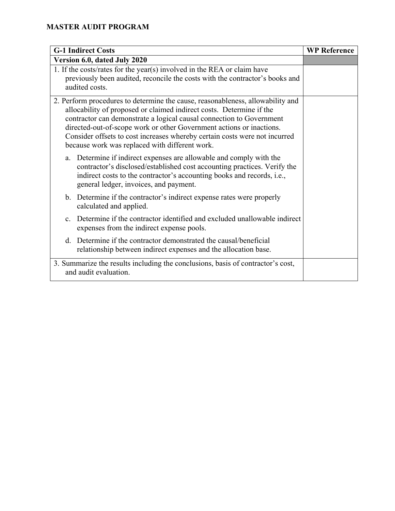| <b>G-1 Indirect Costs</b>                                                                                                                                                                                                                                                                                                                                                                                                              | <b>WP Reference</b> |
|----------------------------------------------------------------------------------------------------------------------------------------------------------------------------------------------------------------------------------------------------------------------------------------------------------------------------------------------------------------------------------------------------------------------------------------|---------------------|
| Version 6.0, dated July 2020                                                                                                                                                                                                                                                                                                                                                                                                           |                     |
| 1. If the costs/rates for the year(s) involved in the REA or claim have<br>previously been audited, reconcile the costs with the contractor's books and<br>audited costs.                                                                                                                                                                                                                                                              |                     |
| 2. Perform procedures to determine the cause, reasonableness, allowability and<br>allocability of proposed or claimed indirect costs. Determine if the<br>contractor can demonstrate a logical causal connection to Government<br>directed-out-of-scope work or other Government actions or inactions.<br>Consider offsets to cost increases whereby certain costs were not incurred<br>because work was replaced with different work. |                     |
| a. Determine if indirect expenses are allowable and comply with the<br>contractor's disclosed/established cost accounting practices. Verify the<br>indirect costs to the contractor's accounting books and records, i.e.,<br>general ledger, invoices, and payment.                                                                                                                                                                    |                     |
| b. Determine if the contractor's indirect expense rates were properly<br>calculated and applied.                                                                                                                                                                                                                                                                                                                                       |                     |
| Determine if the contractor identified and excluded unallowable indirect<br>$\mathbf{c}$ .<br>expenses from the indirect expense pools.                                                                                                                                                                                                                                                                                                |                     |
| d. Determine if the contractor demonstrated the causal/beneficial<br>relationship between indirect expenses and the allocation base.                                                                                                                                                                                                                                                                                                   |                     |
| 3. Summarize the results including the conclusions, basis of contractor's cost,<br>and audit evaluation.                                                                                                                                                                                                                                                                                                                               |                     |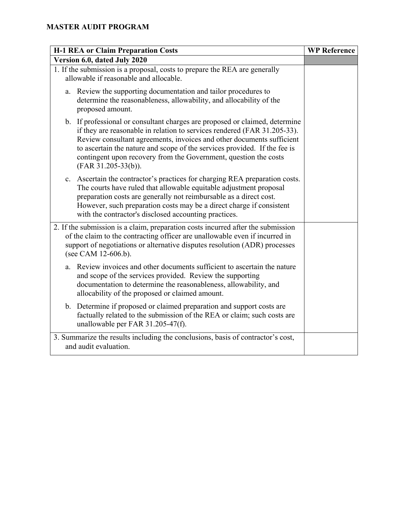| <b>H-1 REA or Claim Preparation Costs</b>                                                                                                                                                                                                                                                                                                                                                                  | <b>WP Reference</b> |
|------------------------------------------------------------------------------------------------------------------------------------------------------------------------------------------------------------------------------------------------------------------------------------------------------------------------------------------------------------------------------------------------------------|---------------------|
| Version 6.0, dated July 2020                                                                                                                                                                                                                                                                                                                                                                               |                     |
| 1. If the submission is a proposal, costs to prepare the REA are generally<br>allowable if reasonable and allocable.                                                                                                                                                                                                                                                                                       |                     |
| Review the supporting documentation and tailor procedures to<br>a.<br>determine the reasonableness, allowability, and allocability of the<br>proposed amount.                                                                                                                                                                                                                                              |                     |
| b. If professional or consultant charges are proposed or claimed, determine<br>if they are reasonable in relation to services rendered (FAR 31.205-33).<br>Review consultant agreements, invoices and other documents sufficient<br>to ascertain the nature and scope of the services provided. If the fee is<br>contingent upon recovery from the Government, question the costs<br>$(FAR 31.205-33(b)).$ |                     |
| Ascertain the contractor's practices for charging REA preparation costs.<br>$\mathbf{c}$ .<br>The courts have ruled that allowable equitable adjustment proposal<br>preparation costs are generally not reimbursable as a direct cost.<br>However, such preparation costs may be a direct charge if consistent<br>with the contractor's disclosed accounting practices.                                    |                     |
| 2. If the submission is a claim, preparation costs incurred after the submission<br>of the claim to the contracting officer are unallowable even if incurred in<br>support of negotiations or alternative disputes resolution (ADR) processes<br>(see CAM 12-606.b).                                                                                                                                       |                     |
| Review invoices and other documents sufficient to ascertain the nature<br>$a_{\cdot}$<br>and scope of the services provided. Review the supporting<br>documentation to determine the reasonableness, allowability, and<br>allocability of the proposed or claimed amount.                                                                                                                                  |                     |
| b. Determine if proposed or claimed preparation and support costs are<br>factually related to the submission of the REA or claim; such costs are<br>unallowable per FAR 31.205-47(f).                                                                                                                                                                                                                      |                     |
| 3. Summarize the results including the conclusions, basis of contractor's cost,<br>and audit evaluation.                                                                                                                                                                                                                                                                                                   |                     |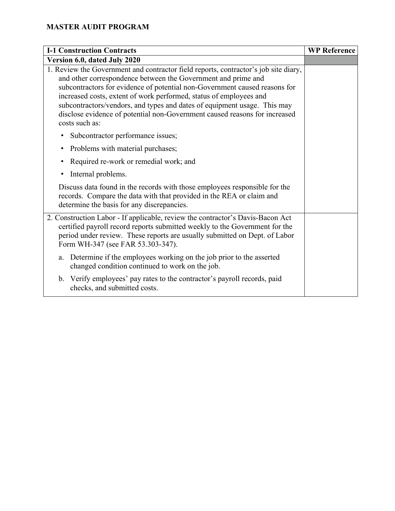| <b>I-1 Construction Contracts</b>                                                                                                                                                                                                                                                                                                                                                                                                                                                    | <b>WP Reference</b> |
|--------------------------------------------------------------------------------------------------------------------------------------------------------------------------------------------------------------------------------------------------------------------------------------------------------------------------------------------------------------------------------------------------------------------------------------------------------------------------------------|---------------------|
| Version 6.0, dated July 2020                                                                                                                                                                                                                                                                                                                                                                                                                                                         |                     |
| 1. Review the Government and contractor field reports, contractor's job site diary,<br>and other correspondence between the Government and prime and<br>subcontractors for evidence of potential non-Government caused reasons for<br>increased costs, extent of work performed, status of employees and<br>subcontractors/vendors, and types and dates of equipment usage. This may<br>disclose evidence of potential non-Government caused reasons for increased<br>costs such as: |                     |
| Subcontractor performance issues;<br>$\bullet$                                                                                                                                                                                                                                                                                                                                                                                                                                       |                     |
| Problems with material purchases;<br>$\bullet$                                                                                                                                                                                                                                                                                                                                                                                                                                       |                     |
| Required re-work or remedial work; and<br>$\bullet$                                                                                                                                                                                                                                                                                                                                                                                                                                  |                     |
| Internal problems.<br>$\bullet$                                                                                                                                                                                                                                                                                                                                                                                                                                                      |                     |
| Discuss data found in the records with those employees responsible for the<br>records. Compare the data with that provided in the REA or claim and<br>determine the basis for any discrepancies.                                                                                                                                                                                                                                                                                     |                     |
| 2. Construction Labor - If applicable, review the contractor's Davis-Bacon Act<br>certified payroll record reports submitted weekly to the Government for the<br>period under review. These reports are usually submitted on Dept. of Labor<br>Form WH-347 (see FAR 53.303-347).                                                                                                                                                                                                     |                     |
| Determine if the employees working on the job prior to the asserted<br>a.<br>changed condition continued to work on the job.                                                                                                                                                                                                                                                                                                                                                         |                     |
| Verify employees' pay rates to the contractor's payroll records, paid<br>b.<br>checks, and submitted costs.                                                                                                                                                                                                                                                                                                                                                                          |                     |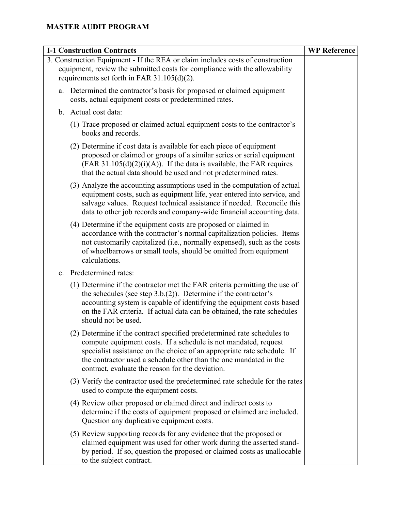| <b>I-1 Construction Contracts</b>                                                                                                                                                                              |                                                                                                                                                                                                                                                                                                                                                |  |
|----------------------------------------------------------------------------------------------------------------------------------------------------------------------------------------------------------------|------------------------------------------------------------------------------------------------------------------------------------------------------------------------------------------------------------------------------------------------------------------------------------------------------------------------------------------------|--|
| 3. Construction Equipment - If the REA or claim includes costs of construction<br>equipment, review the submitted costs for compliance with the allowability<br>requirements set forth in FAR $31.105(d)(2)$ . |                                                                                                                                                                                                                                                                                                                                                |  |
| a.                                                                                                                                                                                                             | Determined the contractor's basis for proposed or claimed equipment<br>costs, actual equipment costs or predetermined rates.                                                                                                                                                                                                                   |  |
|                                                                                                                                                                                                                | b. Actual cost data:                                                                                                                                                                                                                                                                                                                           |  |
|                                                                                                                                                                                                                | (1) Trace proposed or claimed actual equipment costs to the contractor's<br>books and records.                                                                                                                                                                                                                                                 |  |
|                                                                                                                                                                                                                | (2) Determine if cost data is available for each piece of equipment<br>proposed or claimed or groups of a similar series or serial equipment<br>$(FAR 31.105(d)(2)(i)(A))$ . If the data is available, the FAR requires<br>that the actual data should be used and not predetermined rates.                                                    |  |
|                                                                                                                                                                                                                | (3) Analyze the accounting assumptions used in the computation of actual<br>equipment costs, such as equipment life, year entered into service, and<br>salvage values. Request technical assistance if needed. Reconcile this<br>data to other job records and company-wide financial accounting data.                                         |  |
|                                                                                                                                                                                                                | (4) Determine if the equipment costs are proposed or claimed in<br>accordance with the contractor's normal capitalization policies. Items<br>not customarily capitalized (i.e., normally expensed), such as the costs<br>of wheelbarrows or small tools, should be omitted from equipment<br>calculations.                                     |  |
| $c_{\cdot}$                                                                                                                                                                                                    | Predetermined rates:                                                                                                                                                                                                                                                                                                                           |  |
|                                                                                                                                                                                                                | (1) Determine if the contractor met the FAR criteria permitting the use of<br>the schedules (see step $3.b.(2)$ ). Determine if the contractor's<br>accounting system is capable of identifying the equipment costs based<br>on the FAR criteria. If actual data can be obtained, the rate schedules<br>should not be used.                    |  |
|                                                                                                                                                                                                                | (2) Determine if the contract specified predetermined rate schedules to<br>compute equipment costs. If a schedule is not mandated, request<br>specialist assistance on the choice of an appropriate rate schedule. If<br>the contractor used a schedule other than the one mandated in the<br>contract, evaluate the reason for the deviation. |  |
|                                                                                                                                                                                                                | (3) Verify the contractor used the predetermined rate schedule for the rates<br>used to compute the equipment costs.                                                                                                                                                                                                                           |  |
|                                                                                                                                                                                                                | (4) Review other proposed or claimed direct and indirect costs to<br>determine if the costs of equipment proposed or claimed are included.<br>Question any duplicative equipment costs.                                                                                                                                                        |  |
|                                                                                                                                                                                                                | (5) Review supporting records for any evidence that the proposed or<br>claimed equipment was used for other work during the asserted stand-<br>by period. If so, question the proposed or claimed costs as unallocable<br>to the subject contract.                                                                                             |  |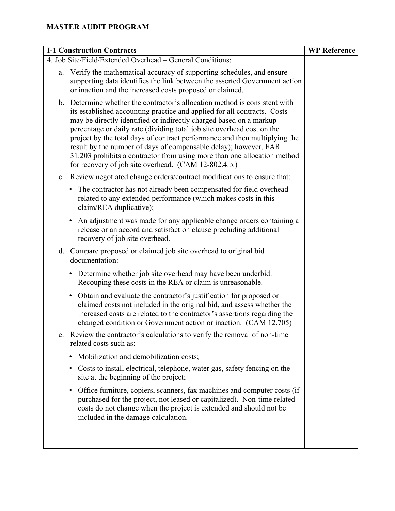| <b>I-1 Construction Contracts</b>                         | <b>WP Reference</b>                                                                                                                                                                                                                                                                                                                                                                                                                                                                                                                                                                          |  |
|-----------------------------------------------------------|----------------------------------------------------------------------------------------------------------------------------------------------------------------------------------------------------------------------------------------------------------------------------------------------------------------------------------------------------------------------------------------------------------------------------------------------------------------------------------------------------------------------------------------------------------------------------------------------|--|
| 4. Job Site/Field/Extended Overhead - General Conditions: |                                                                                                                                                                                                                                                                                                                                                                                                                                                                                                                                                                                              |  |
| a.                                                        | Verify the mathematical accuracy of supporting schedules, and ensure<br>supporting data identifies the link between the asserted Government action<br>or inaction and the increased costs proposed or claimed.                                                                                                                                                                                                                                                                                                                                                                               |  |
|                                                           | b. Determine whether the contractor's allocation method is consistent with<br>its established accounting practice and applied for all contracts. Costs<br>may be directly identified or indirectly charged based on a markup<br>percentage or daily rate (dividing total job site overhead cost on the<br>project by the total days of contract performance and then multiplying the<br>result by the number of days of compensable delay); however, FAR<br>31.203 prohibits a contractor from using more than one allocation method<br>for recovery of job site overhead. (CAM 12-802.4.b.) |  |
| c.                                                        | Review negotiated change orders/contract modifications to ensure that:                                                                                                                                                                                                                                                                                                                                                                                                                                                                                                                       |  |
|                                                           | • The contractor has not already been compensated for field overhead<br>related to any extended performance (which makes costs in this<br>claim/REA duplicative);                                                                                                                                                                                                                                                                                                                                                                                                                            |  |
|                                                           | An adjustment was made for any applicable change orders containing a<br>$\bullet$<br>release or an accord and satisfaction clause precluding additional<br>recovery of job site overhead.                                                                                                                                                                                                                                                                                                                                                                                                    |  |
| d.                                                        | Compare proposed or claimed job site overhead to original bid<br>documentation:                                                                                                                                                                                                                                                                                                                                                                                                                                                                                                              |  |
|                                                           | Determine whether job site overhead may have been underbid.<br>٠<br>Recouping these costs in the REA or claim is unreasonable.                                                                                                                                                                                                                                                                                                                                                                                                                                                               |  |
|                                                           | • Obtain and evaluate the contractor's justification for proposed or<br>claimed costs not included in the original bid, and assess whether the<br>increased costs are related to the contractor's assertions regarding the<br>changed condition or Government action or inaction. (CAM 12.705)                                                                                                                                                                                                                                                                                               |  |
|                                                           | Review the contractor's calculations to verify the removal of non-time<br>related costs such as:                                                                                                                                                                                                                                                                                                                                                                                                                                                                                             |  |
|                                                           | Mobilization and demobilization costs;<br>$\bullet$                                                                                                                                                                                                                                                                                                                                                                                                                                                                                                                                          |  |
|                                                           | Costs to install electrical, telephone, water gas, safety fencing on the<br>$\bullet$<br>site at the beginning of the project;                                                                                                                                                                                                                                                                                                                                                                                                                                                               |  |
|                                                           | Office furniture, copiers, scanners, fax machines and computer costs (if<br>$\bullet$<br>purchased for the project, not leased or capitalized). Non-time related<br>costs do not change when the project is extended and should not be<br>included in the damage calculation.                                                                                                                                                                                                                                                                                                                |  |
|                                                           |                                                                                                                                                                                                                                                                                                                                                                                                                                                                                                                                                                                              |  |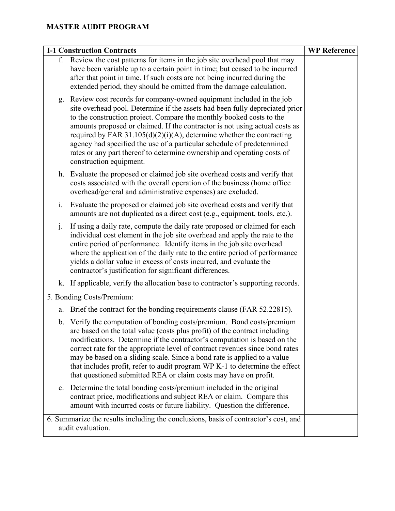| <b>I-1 Construction Contracts</b> | <b>WP Reference</b>                                                                                                                                                                                                                                                                                                                                                                                                                                                                                                                                                    |  |
|-----------------------------------|------------------------------------------------------------------------------------------------------------------------------------------------------------------------------------------------------------------------------------------------------------------------------------------------------------------------------------------------------------------------------------------------------------------------------------------------------------------------------------------------------------------------------------------------------------------------|--|
|                                   | f. Review the cost patterns for items in the job site overhead pool that may<br>have been variable up to a certain point in time; but ceased to be incurred<br>after that point in time. If such costs are not being incurred during the<br>extended period, they should be omitted from the damage calculation.                                                                                                                                                                                                                                                       |  |
| g.                                | Review cost records for company-owned equipment included in the job<br>site overhead pool. Determine if the assets had been fully depreciated prior<br>to the construction project. Compare the monthly booked costs to the<br>amounts proposed or claimed. If the contractor is not using actual costs as<br>required by FAR $31.105(d)(2)(i)(A)$ , determine whether the contracting<br>agency had specified the use of a particular schedule of predetermined<br>rates or any part thereof to determine ownership and operating costs of<br>construction equipment. |  |
|                                   | h. Evaluate the proposed or claimed job site overhead costs and verify that<br>costs associated with the overall operation of the business (home office<br>overhead/general and administrative expenses) are excluded.                                                                                                                                                                                                                                                                                                                                                 |  |
| $\mathbf{i}$ .                    | Evaluate the proposed or claimed job site overhead costs and verify that<br>amounts are not duplicated as a direct cost (e.g., equipment, tools, etc.).                                                                                                                                                                                                                                                                                                                                                                                                                |  |
| $\mathbf{j}$ .                    | If using a daily rate, compute the daily rate proposed or claimed for each<br>individual cost element in the job site overhead and apply the rate to the<br>entire period of performance. Identify items in the job site overhead<br>where the application of the daily rate to the entire period of performance<br>yields a dollar value in excess of costs incurred, and evaluate the<br>contractor's justification for significant differences.                                                                                                                     |  |
| k.                                | If applicable, verify the allocation base to contractor's supporting records.                                                                                                                                                                                                                                                                                                                                                                                                                                                                                          |  |
|                                   | 5. Bonding Costs/Premium:                                                                                                                                                                                                                                                                                                                                                                                                                                                                                                                                              |  |
| a.                                | Brief the contract for the bonding requirements clause (FAR 52.22815).                                                                                                                                                                                                                                                                                                                                                                                                                                                                                                 |  |
| $\mathbf b$ .                     | Verify the computation of bonding costs/premium. Bond costs/premium<br>are based on the total value (costs plus profit) of the contract including<br>modifications. Determine if the contractor's computation is based on the<br>correct rate for the appropriate level of contract revenues since bond rates<br>may be based on a sliding scale. Since a bond rate is applied to a value<br>that includes profit, refer to audit program WP K-1 to determine the effect<br>that questioned submitted REA or claim costs may have on profit.                           |  |
| $\mathbf{c}$ .                    | Determine the total bonding costs/premium included in the original<br>contract price, modifications and subject REA or claim. Compare this<br>amount with incurred costs or future liability. Question the difference.                                                                                                                                                                                                                                                                                                                                                 |  |
|                                   | 6. Summarize the results including the conclusions, basis of contractor's cost, and<br>audit evaluation.                                                                                                                                                                                                                                                                                                                                                                                                                                                               |  |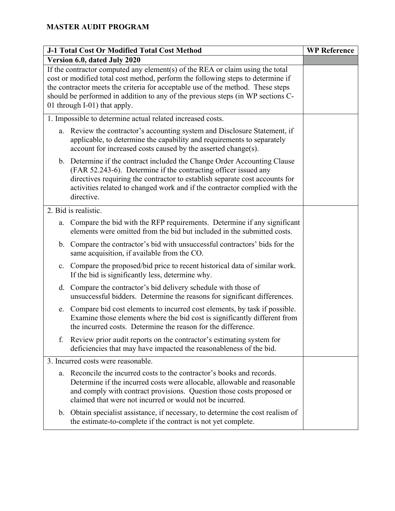|                                    | <b>J-1 Total Cost Or Modified Total Cost Method</b>                                                                                                                                                                                                                                                                                                                    | <b>WP Reference</b> |
|------------------------------------|------------------------------------------------------------------------------------------------------------------------------------------------------------------------------------------------------------------------------------------------------------------------------------------------------------------------------------------------------------------------|---------------------|
|                                    | Version 6.0, dated July 2020                                                                                                                                                                                                                                                                                                                                           |                     |
|                                    | If the contractor computed any element(s) of the REA or claim using the total<br>cost or modified total cost method, perform the following steps to determine if<br>the contractor meets the criteria for acceptable use of the method. These steps<br>should be performed in addition to any of the previous steps (in WP sections C-<br>01 through I-01) that apply. |                     |
|                                    | 1. Impossible to determine actual related increased costs.                                                                                                                                                                                                                                                                                                             |                     |
|                                    | a. Review the contractor's accounting system and Disclosure Statement, if<br>applicable, to determine the capability and requirements to separately<br>account for increased costs caused by the asserted change(s).                                                                                                                                                   |                     |
|                                    | b. Determine if the contract included the Change Order Accounting Clause<br>(FAR 52.243-6). Determine if the contracting officer issued any<br>directives requiring the contractor to establish separate cost accounts for<br>activities related to changed work and if the contractor complied with the<br>directive.                                                 |                     |
|                                    | 2. Bid is realistic.                                                                                                                                                                                                                                                                                                                                                   |                     |
| a.                                 | Compare the bid with the RFP requirements. Determine if any significant<br>elements were omitted from the bid but included in the submitted costs.                                                                                                                                                                                                                     |                     |
|                                    | b. Compare the contractor's bid with unsuccessful contractors' bids for the<br>same acquisition, if available from the CO.                                                                                                                                                                                                                                             |                     |
| c.                                 | Compare the proposed/bid price to recent historical data of similar work.<br>If the bid is significantly less, determine why.                                                                                                                                                                                                                                          |                     |
| d.                                 | Compare the contractor's bid delivery schedule with those of<br>unsuccessful bidders. Determine the reasons for significant differences.                                                                                                                                                                                                                               |                     |
| e.                                 | Compare bid cost elements to incurred cost elements, by task if possible.<br>Examine those elements where the bid cost is significantly different from<br>the incurred costs. Determine the reason for the difference.                                                                                                                                                 |                     |
| f.                                 | Review prior audit reports on the contractor's estimating system for<br>deficiencies that may have impacted the reasonableness of the bid.                                                                                                                                                                                                                             |                     |
| 3. Incurred costs were reasonable. |                                                                                                                                                                                                                                                                                                                                                                        |                     |
| a.                                 | Reconcile the incurred costs to the contractor's books and records.<br>Determine if the incurred costs were allocable, allowable and reasonable<br>and comply with contract provisions. Question those costs proposed or<br>claimed that were not incurred or would not be incurred.                                                                                   |                     |
|                                    | b. Obtain specialist assistance, if necessary, to determine the cost realism of<br>the estimate-to-complete if the contract is not yet complete.                                                                                                                                                                                                                       |                     |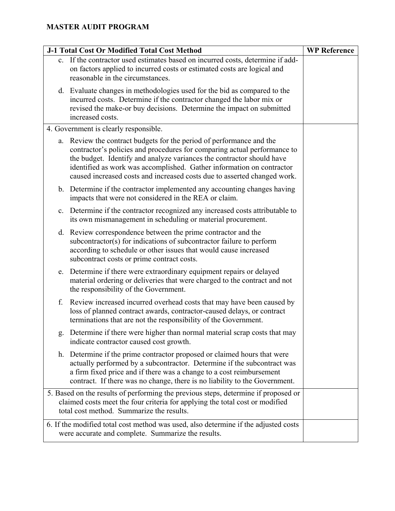|    | <b>J-1 Total Cost Or Modified Total Cost Method</b>                                                                                                                                                                                                                                                                                                                            | <b>WP Reference</b> |
|----|--------------------------------------------------------------------------------------------------------------------------------------------------------------------------------------------------------------------------------------------------------------------------------------------------------------------------------------------------------------------------------|---------------------|
|    | c. If the contractor used estimates based on incurred costs, determine if add-<br>on factors applied to incurred costs or estimated costs are logical and<br>reasonable in the circumstances.                                                                                                                                                                                  |                     |
|    | d. Evaluate changes in methodologies used for the bid as compared to the<br>incurred costs. Determine if the contractor changed the labor mix or<br>revised the make-or buy decisions. Determine the impact on submitted<br>increased costs.                                                                                                                                   |                     |
|    | 4. Government is clearly responsible.                                                                                                                                                                                                                                                                                                                                          |                     |
|    | a. Review the contract budgets for the period of performance and the<br>contractor's policies and procedures for comparing actual performance to<br>the budget. Identify and analyze variances the contractor should have<br>identified as work was accomplished. Gather information on contractor<br>caused increased costs and increased costs due to asserted changed work. |                     |
|    | b. Determine if the contractor implemented any accounting changes having<br>impacts that were not considered in the REA or claim.                                                                                                                                                                                                                                              |                     |
| c. | Determine if the contractor recognized any increased costs attributable to<br>its own mismanagement in scheduling or material procurement.                                                                                                                                                                                                                                     |                     |
|    | d. Review correspondence between the prime contractor and the<br>subcontractor(s) for indications of subcontractor failure to perform<br>according to schedule or other issues that would cause increased<br>subcontract costs or prime contract costs.                                                                                                                        |                     |
| e. | Determine if there were extraordinary equipment repairs or delayed<br>material ordering or deliveries that were charged to the contract and not<br>the responsibility of the Government.                                                                                                                                                                                       |                     |
| f. | Review increased incurred overhead costs that may have been caused by<br>loss of planned contract awards, contractor-caused delays, or contract<br>terminations that are not the responsibility of the Government.                                                                                                                                                             |                     |
| g. | Determine if there were higher than normal material scrap costs that may<br>indicate contractor caused cost growth.                                                                                                                                                                                                                                                            |                     |
| h. | Determine if the prime contractor proposed or claimed hours that were<br>actually performed by a subcontractor. Determine if the subcontract was<br>a firm fixed price and if there was a change to a cost reimbursement<br>contract. If there was no change, there is no liability to the Government.                                                                         |                     |
|    | 5. Based on the results of performing the previous steps, determine if proposed or<br>claimed costs meet the four criteria for applying the total cost or modified<br>total cost method. Summarize the results.                                                                                                                                                                |                     |
|    | 6. If the modified total cost method was used, also determine if the adjusted costs<br>were accurate and complete. Summarize the results.                                                                                                                                                                                                                                      |                     |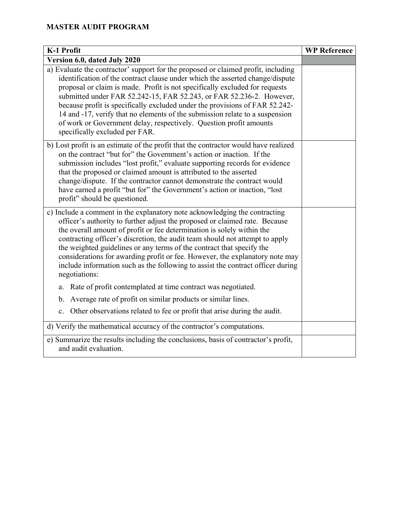| K-1 Profit                                                                                                                                                                                                                                                                                                                                                                                                                                                                                                                                                                                       | <b>WP Reference</b> |
|--------------------------------------------------------------------------------------------------------------------------------------------------------------------------------------------------------------------------------------------------------------------------------------------------------------------------------------------------------------------------------------------------------------------------------------------------------------------------------------------------------------------------------------------------------------------------------------------------|---------------------|
| Version 6.0, dated July 2020                                                                                                                                                                                                                                                                                                                                                                                                                                                                                                                                                                     |                     |
| a) Evaluate the contractor' support for the proposed or claimed profit, including<br>identification of the contract clause under which the asserted change/dispute<br>proposal or claim is made. Profit is not specifically excluded for requests<br>submitted under FAR 52.242-15, FAR 52.243, or FAR 52.236-2. However,<br>because profit is specifically excluded under the provisions of FAR 52.242-<br>14 and -17, verify that no elements of the submission relate to a suspension<br>of work or Government delay, respectively. Question profit amounts<br>specifically excluded per FAR. |                     |
| b) Lost profit is an estimate of the profit that the contractor would have realized<br>on the contract "but for" the Government's action or inaction. If the<br>submission includes "lost profit," evaluate supporting records for evidence<br>that the proposed or claimed amount is attributed to the asserted<br>change/dispute. If the contractor cannot demonstrate the contract would<br>have earned a profit "but for" the Government's action or inaction, "lost<br>profit" should be questioned.                                                                                        |                     |
| c) Include a comment in the explanatory note acknowledging the contracting<br>officer's authority to further adjust the proposed or claimed rate. Because<br>the overall amount of profit or fee determination is solely within the<br>contracting officer's discretion, the audit team should not attempt to apply<br>the weighted guidelines or any terms of the contract that specify the<br>considerations for awarding profit or fee. However, the explanatory note may<br>include information such as the following to assist the contract officer during<br>negotiations:                 |                     |
| Rate of profit contemplated at time contract was negotiated.<br>a.                                                                                                                                                                                                                                                                                                                                                                                                                                                                                                                               |                     |
| Average rate of profit on similar products or similar lines.<br>b.                                                                                                                                                                                                                                                                                                                                                                                                                                                                                                                               |                     |
| Other observations related to fee or profit that arise during the audit.<br>$\mathbf{c}$ .                                                                                                                                                                                                                                                                                                                                                                                                                                                                                                       |                     |
| d) Verify the mathematical accuracy of the contractor's computations.                                                                                                                                                                                                                                                                                                                                                                                                                                                                                                                            |                     |
| e) Summarize the results including the conclusions, basis of contractor's profit,<br>and audit evaluation.                                                                                                                                                                                                                                                                                                                                                                                                                                                                                       |                     |